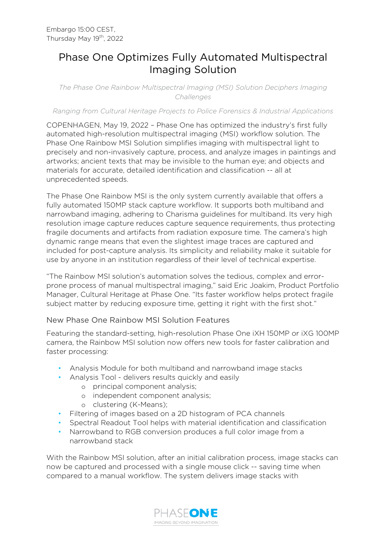## Phase One Optimizes Fully Automated Multispectral Imaging Solution

*The Phase One Rainbow Multispectral Imaging (MSI) Solution Deciphers Imaging Challenges*

*Ranging from Cultural Heritage Projects to Police Forensics & Industrial Applications*

COPENHAGEN, May 19, 2022 – Phase One has optimized the industry's first fully automated high-resolution multispectral imaging (MSI) workflow solution. The Phase One Rainbow MSI Solution simplifies imaging with multispectral light to precisely and non-invasively capture, process, and analyze images in paintings and artworks; ancient texts that may be invisible to the human eye; and objects and materials for accurate, detailed identification and classification -- all at unprecedented speeds.

The Phase One Rainbow MSI is the only system currently available that offers a fully automated 150MP stack capture workflow. It supports both multiband and narrowband imaging, adhering to Charisma guidelines for multiband. Its very high resolution image capture reduces capture sequence requirements, thus protecting fragile documents and artifacts from radiation exposure time. The camera's high dynamic range means that even the slightest image traces are captured and included for post-capture analysis. Its simplicity and reliability make it suitable for use by anyone in an institution regardless of their level of technical expertise.

"The Rainbow MSI solution's automation solves the tedious, complex and errorprone process of manual multispectral imaging," said Eric Joakim, Product Portfolio Manager, Cultural Heritage at Phase One. "Its faster workflow helps protect fragile subject matter by reducing exposure time, getting it right with the first shot."

## New Phase One Rainbow MSI Solution Features

Featuring the standard-setting, high-resolution Phase One iXH 150MP or iXG 100MP camera, the Rainbow MSI solution now offers new tools for faster calibration and faster processing:

- Analysis Module for both multiband and narrowband image stacks
- Analysis Tool delivers results quickly and easily
	- o principal component analysis;
	- o independent component analysis;
	- o clustering (K-Means);
- Filtering of images based on a 2D histogram of PCA channels
- Spectral Readout Tool helps with material identification and classification
- Narrowband to RGB conversion produces a full color image from a narrowband stack

With the Rainbow MSI solution, after an initial calibration process, image stacks can now be captured and processed with a single mouse click -- saving time when compared to a manual workflow. The system delivers image stacks with